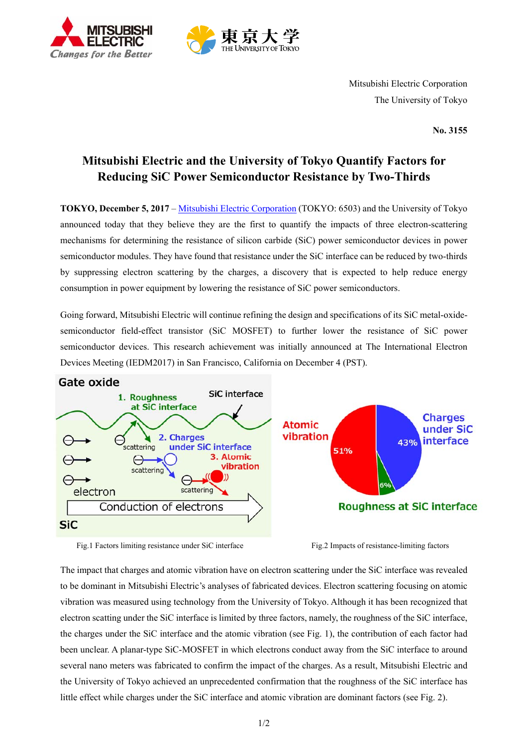



Mitsubishi Electric Corporation The University of Tokyo

**No. 3155**

## **Mitsubishi Electric and the University of Tokyo Quantify Factors for Reducing SiC Power Semiconductor Resistance by Two-Thirds**

**TOKYO, December 5, 2017** – Mitsubishi Electric Corporation (TOKYO: 6503) and the University of Tokyo announced today that they believe they are the first to quantify the impacts of three electron-scattering mechanisms for determining the resistance of silicon carbide (SiC) power semiconductor devices in power semiconductor modules. They have found that resistance under the SiC interface can be reduced by two-thirds by suppressing electron scattering by the charges, a discovery that is expected to help reduce energy consumption in power equipment by lowering the resistance of SiC power semiconductors.

Going forward, Mitsubishi Electric will continue refining the design and specifications of its SiC metal-oxidesemiconductor field-effect transistor (SiC MOSFET) to further lower the resistance of SiC power semiconductor devices. This research achievement was initially announced at The International Electron Devices Meeting (IEDM2017) in San Francisco, California on December 4 (PST).



Fig.1 Factors limiting resistance under SiC interface Fig.2 Impacts of resistance-limiting factors

The impact that charges and atomic vibration have on electron scattering under the SiC interface was revealed to be dominant in Mitsubishi Electric's analyses of fabricated devices. Electron scattering focusing on atomic vibration was measured using technology from the University of Tokyo. Although it has been recognized that electron scatting under the SiC interface is limited by three factors, namely, the roughness of the SiC interface, the charges under the SiC interface and the atomic vibration (see Fig. 1), the contribution of each factor had been unclear. A planar-type SiC-MOSFET in which electrons conduct away from the SiC interface to around several nano meters was fabricated to confirm the impact of the charges. As a result, Mitsubishi Electric and the University of Tokyo achieved an unprecedented confirmation that the roughness of the SiC interface has little effect while charges under the SiC interface and atomic vibration are dominant factors (see Fig. 2).